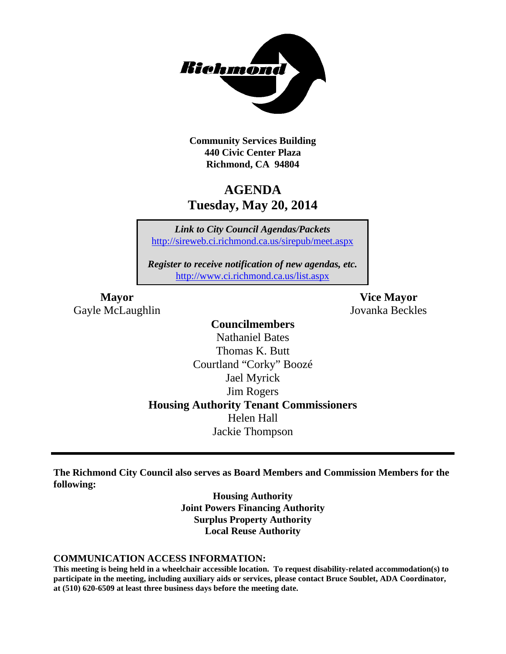

**Community Services Building 440 Civic Center Plaza Richmond, CA 94804**

# **AGENDA Tuesday, May 20, 2014**

*Link to City Council Agendas/Packets* <http://sireweb.ci.richmond.ca.us/sirepub/meet.aspx>

*Register to receive notification of new agendas, etc.* <http://www.ci.richmond.ca.us/list.aspx>

Gayle McLaughlin Jovanka Beckles

**Mayor Vice Mayor**

### **Councilmembers**

Nathaniel Bates Thomas K. Butt Courtland "Corky" Boozé Jael Myrick Jim Rogers **Housing Authority Tenant Commissioners** Helen Hall Jackie Thompson

**The Richmond City Council also serves as Board Members and Commission Members for the following:**

> **Housing Authority Joint Powers Financing Authority Surplus Property Authority Local Reuse Authority**

#### **COMMUNICATION ACCESS INFORMATION:**

**This meeting is being held in a wheelchair accessible location. To request disability-related accommodation(s) to participate in the meeting, including auxiliary aids or services, please contact Bruce Soublet, ADA Coordinator, at (510) 620-6509 at least three business days before the meeting date.**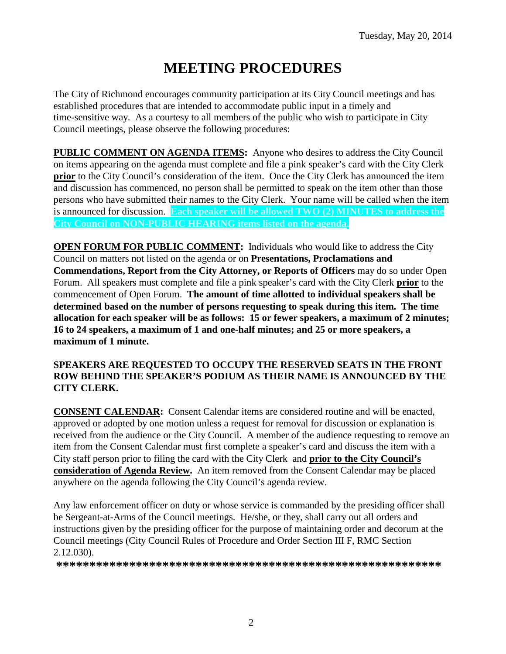# **MEETING PROCEDURES**

The City of Richmond encourages community participation at its City Council meetings and has established procedures that are intended to accommodate public input in a timely and time-sensitive way. As a courtesy to all members of the public who wish to participate in City Council meetings, please observe the following procedures:

**PUBLIC COMMENT ON AGENDA ITEMS:** Anyone who desires to address the City Council on items appearing on the agenda must complete and file a pink speaker's card with the City Clerk **prior** to the City Council's consideration of the item. Once the City Clerk has announced the item and discussion has commenced, no person shall be permitted to speak on the item other than those persons who have submitted their names to the City Clerk. Your name will be called when the item is announced for discussion. **Each speaker will be allowed TWO (2) MINUTES to address the City Council on NON-PUBLIC HEARING items listed on the agenda.**

**OPEN FORUM FOR PUBLIC COMMENT:** Individuals who would like to address the City Council on matters not listed on the agenda or on **Presentations, Proclamations and Commendations, Report from the City Attorney, or Reports of Officers** may do so under Open Forum. All speakers must complete and file a pink speaker's card with the City Clerk **prior** to the commencement of Open Forum. **The amount of time allotted to individual speakers shall be determined based on the number of persons requesting to speak during this item. The time allocation for each speaker will be as follows: 15 or fewer speakers, a maximum of 2 minutes; 16 to 24 speakers, a maximum of 1 and one-half minutes; and 25 or more speakers, a maximum of 1 minute.**

### **SPEAKERS ARE REQUESTED TO OCCUPY THE RESERVED SEATS IN THE FRONT ROW BEHIND THE SPEAKER'S PODIUM AS THEIR NAME IS ANNOUNCED BY THE CITY CLERK.**

**CONSENT CALENDAR:** Consent Calendar items are considered routine and will be enacted, approved or adopted by one motion unless a request for removal for discussion or explanation is received from the audience or the City Council. A member of the audience requesting to remove an item from the Consent Calendar must first complete a speaker's card and discuss the item with a City staff person prior to filing the card with the City Clerk and **prior to the City Council's consideration of Agenda Review.** An item removed from the Consent Calendar may be placed anywhere on the agenda following the City Council's agenda review.

Any law enforcement officer on duty or whose service is commanded by the presiding officer shall be Sergeant-at-Arms of the Council meetings. He/she, or they, shall carry out all orders and instructions given by the presiding officer for the purpose of maintaining order and decorum at the Council meetings (City Council Rules of Procedure and Order Section III F, RMC Section 2.12.030).

**\*\*\*\*\*\*\*\*\*\*\*\*\*\*\*\*\*\*\*\*\*\*\*\*\*\*\*\*\*\*\*\*\*\*\*\*\*\*\*\*\*\*\*\*\*\*\*\*\*\*\*\*\*\*\*\*\*\***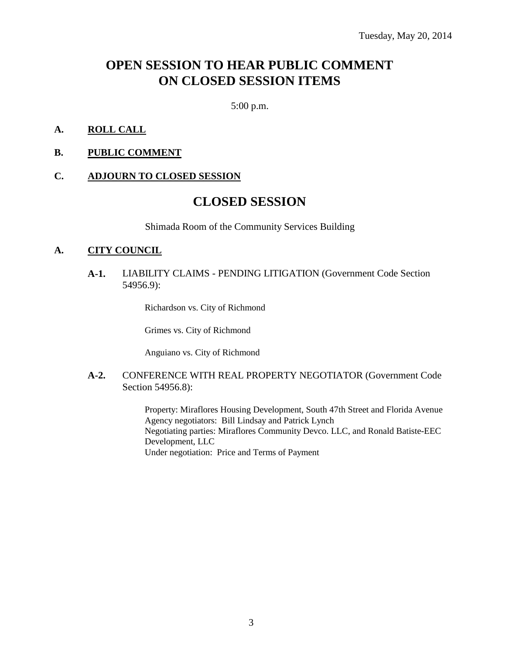# **OPEN SESSION TO HEAR PUBLIC COMMENT ON CLOSED SESSION ITEMS**

5:00 p.m.

### **A. ROLL CALL**

**B. PUBLIC COMMENT**

#### **C. ADJOURN TO CLOSED SESSION**

## **CLOSED SESSION**

Shimada Room of the Community Services Building

#### **A. CITY COUNCIL**

**A-1.** LIABILITY CLAIMS - PENDING LITIGATION (Government Code Section 54956.9):

Richardson vs. City of Richmond

Grimes vs. City of Richmond

Anguiano vs. City of Richmond

#### **A-2.** CONFERENCE WITH REAL PROPERTY NEGOTIATOR (Government Code Section 54956.8):

Property: Miraflores Housing Development, South 47th Street and Florida Avenue Agency negotiators: Bill Lindsay and Patrick Lynch Negotiating parties: Miraflores Community Devco. LLC, and Ronald Batiste-EEC Development, LLC Under negotiation: Price and Terms of Payment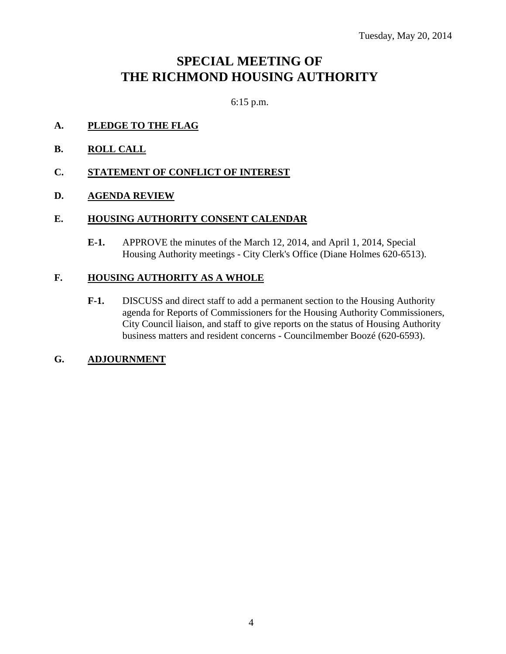# **SPECIAL MEETING OF THE RICHMOND HOUSING AUTHORITY**

6:15 p.m.

- **A. PLEDGE TO THE FLAG**
- **B. ROLL CALL**
- **C. STATEMENT OF CONFLICT OF INTEREST**
- **D. AGENDA REVIEW**

### **E. HOUSING AUTHORITY CONSENT CALENDAR**

**E-1.** APPROVE the minutes of the March 12, 2014, and April 1, 2014, Special Housing Authority meetings - City Clerk's Office (Diane Holmes 620-6513).

### **F. HOUSING AUTHORITY AS A WHOLE**

**F-1.** DISCUSS and direct staff to add a permanent section to the Housing Authority agenda for Reports of Commissioners for the Housing Authority Commissioners, City Council liaison, and staff to give reports on the status of Housing Authority business matters and resident concerns - Councilmember Boozé (620-6593).

### **G. ADJOURNMENT**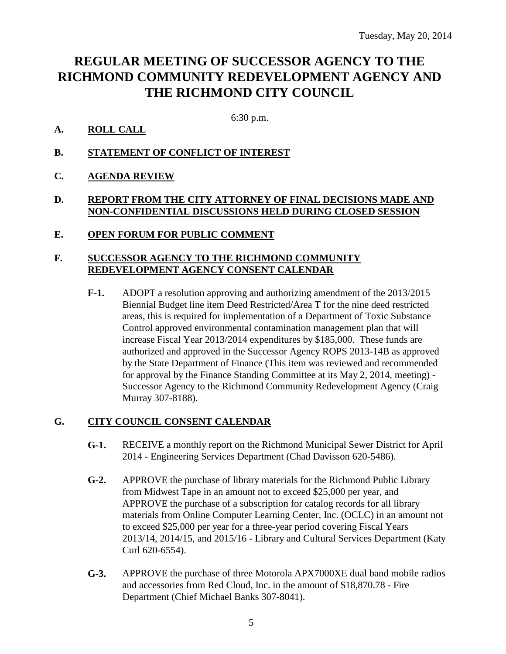# **REGULAR MEETING OF SUCCESSOR AGENCY TO THE RICHMOND COMMUNITY REDEVELOPMENT AGENCY AND THE RICHMOND CITY COUNCIL**

### 6:30 p.m.

### **A. ROLL CALL**

- **B. STATEMENT OF CONFLICT OF INTEREST**
- **C. AGENDA REVIEW**

### **D. REPORT FROM THE CITY ATTORNEY OF FINAL DECISIONS MADE AND NON-CONFIDENTIAL DISCUSSIONS HELD DURING CLOSED SESSION**

**E. OPEN FORUM FOR PUBLIC COMMENT**

### **F. SUCCESSOR AGENCY TO THE RICHMOND COMMUNITY REDEVELOPMENT AGENCY CONSENT CALENDAR**

**F-1.** ADOPT a resolution approving and authorizing amendment of the 2013/2015 Biennial Budget line item Deed Restricted/Area T for the nine deed restricted areas, this is required for implementation of a Department of Toxic Substance Control approved environmental contamination management plan that will increase Fiscal Year 2013/2014 expenditures by \$185,000. These funds are authorized and approved in the Successor Agency ROPS 2013-14B as approved by the State Department of Finance (This item was reviewed and recommended for approval by the Finance Standing Committee at its May 2, 2014, meeting) - Successor Agency to the Richmond Community Redevelopment Agency (Craig Murray 307-8188).

### **G. CITY COUNCIL CONSENT CALENDAR**

- **G-1.** RECEIVE a monthly report on the Richmond Municipal Sewer District for April 2014 - Engineering Services Department (Chad Davisson 620-5486).
- **G-2.** APPROVE the purchase of library materials for the Richmond Public Library from Midwest Tape in an amount not to exceed \$25,000 per year, and APPROVE the purchase of a subscription for catalog records for all library materials from Online Computer Learning Center, Inc. (OCLC) in an amount not to exceed \$25,000 per year for a three-year period covering Fiscal Years 2013/14, 2014/15, and 2015/16 - Library and Cultural Services Department (Katy Curl 620-6554).
- **G-3.** APPROVE the purchase of three Motorola APX7000XE dual band mobile radios and accessories from Red Cloud, Inc. in the amount of \$18,870.78 - Fire Department (Chief Michael Banks 307-8041).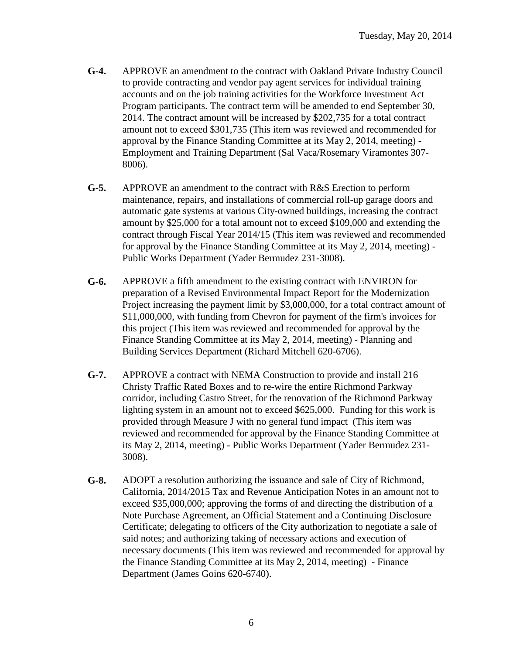- **G-4.** APPROVE an amendment to the contract with Oakland Private Industry Council to provide contracting and vendor pay agent services for individual training accounts and on the job training activities for the Workforce Investment Act Program participants. The contract term will be amended to end September 30, 2014. The contract amount will be increased by \$202,735 for a total contract amount not to exceed \$301,735 (This item was reviewed and recommended for approval by the Finance Standing Committee at its May 2, 2014, meeting) - Employment and Training Department (Sal Vaca/Rosemary Viramontes 307- 8006).
- **G-5.** APPROVE an amendment to the contract with R&S Erection to perform maintenance, repairs, and installations of commercial roll-up garage doors and automatic gate systems at various City-owned buildings, increasing the contract amount by \$25,000 for a total amount not to exceed \$109,000 and extending the contract through Fiscal Year 2014/15 (This item was reviewed and recommended for approval by the Finance Standing Committee at its May 2, 2014, meeting) - Public Works Department (Yader Bermudez 231-3008).
- **G-6.** APPROVE a fifth amendment to the existing contract with ENVIRON for preparation of a Revised Environmental Impact Report for the Modernization Project increasing the payment limit by \$3,000,000, for a total contract amount of \$11,000,000, with funding from Chevron for payment of the firm's invoices for this project (This item was reviewed and recommended for approval by the Finance Standing Committee at its May 2, 2014, meeting) - Planning and Building Services Department (Richard Mitchell 620-6706).
- **G-7.** APPROVE a contract with NEMA Construction to provide and install 216 Christy Traffic Rated Boxes and to re-wire the entire Richmond Parkway corridor, including Castro Street, for the renovation of the Richmond Parkway lighting system in an amount not to exceed \$625,000. Funding for this work is provided through Measure J with no general fund impact (This item was reviewed and recommended for approval by the Finance Standing Committee at its May 2, 2014, meeting) - Public Works Department (Yader Bermudez 231- 3008).
- **G-8.** ADOPT a resolution authorizing the issuance and sale of City of Richmond, California, 2014/2015 Tax and Revenue Anticipation Notes in an amount not to exceed \$35,000,000; approving the forms of and directing the distribution of a Note Purchase Agreement, an Official Statement and a Continuing Disclosure Certificate; delegating to officers of the City authorization to negotiate a sale of said notes; and authorizing taking of necessary actions and execution of necessary documents (This item was reviewed and recommended for approval by the Finance Standing Committee at its May 2, 2014, meeting) - Finance Department (James Goins 620-6740).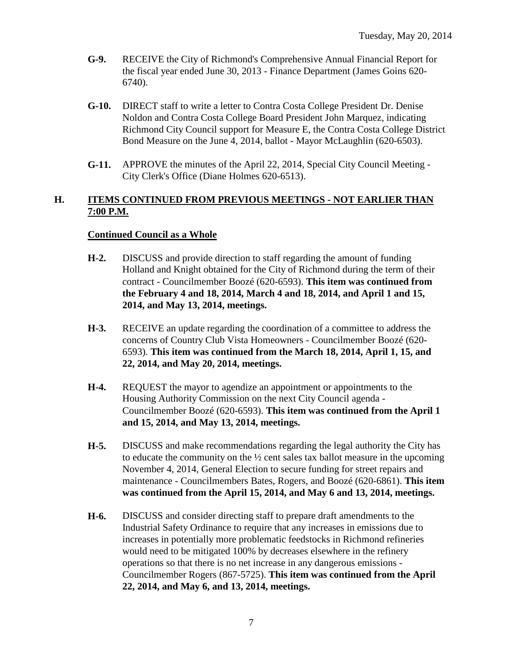- **G-9.** RECEIVE the City of Richmond's Comprehensive Annual Financial Report for the fiscal year ended June 30, 2013 - Finance Department (James Goins 620- 6740).
- **G-10.** DIRECT staff to write a letter to Contra Costa College President Dr. Denise Noldon and Contra Costa College Board President John Marquez, indicating Richmond City Council support for Measure E, the Contra Costa College District Bond Measure on the June 4, 2014, ballot - Mayor McLaughlin (620-6503).
- **G-11.** APPROVE the minutes of the April 22, 2014, Special City Council Meeting City Clerk's Office (Diane Holmes 620-6513).

### **H. ITEMS CONTINUED FROM PREVIOUS MEETINGS - NOT EARLIER THAN 7:00 P.M.**

### **Continued Council as a Whole**

- **H-2.** DISCUSS and provide direction to staff regarding the amount of funding Holland and Knight obtained for the City of Richmond during the term of their contract - Councilmember Boozé (620-6593). **This item was continued from the February 4 and 18, 2014, March 4 and 18, 2014, and April 1 and 15, 2014, and May 13, 2014, meetings.**
- **H-3.** RECEIVE an update regarding the coordination of a committee to address the concerns of Country Club Vista Homeowners - Councilmember Boozé (620- 6593). **This item was continued from the March 18, 2014, April 1, 15, and 22, 2014, and May 20, 2014, meetings.**
- **H-4.** REQUEST the mayor to agendize an appointment or appointments to the Housing Authority Commission on the next City Council agenda - Councilmember Boozé (620-6593). **This item was continued from the April 1 and 15, 2014, and May 13, 2014, meetings.**
- **H-5.** DISCUSS and make recommendations regarding the legal authority the City has to educate the community on the ½ cent sales tax ballot measure in the upcoming November 4, 2014, General Election to secure funding for street repairs and maintenance - Councilmembers Bates, Rogers, and Boozé (620-6861). **This item was continued from the April 15, 2014, and May 6 and 13, 2014, meetings.**
- **H-6.** DISCUSS and consider directing staff to prepare draft amendments to the Industrial Safety Ordinance to require that any increases in emissions due to increases in potentially more problematic feedstocks in Richmond refineries would need to be mitigated 100% by decreases elsewhere in the refinery operations so that there is no net increase in any dangerous emissions - Councilmember Rogers (867-5725). **This item was continued from the April 22, 2014, and May 6, and 13, 2014, meetings.**